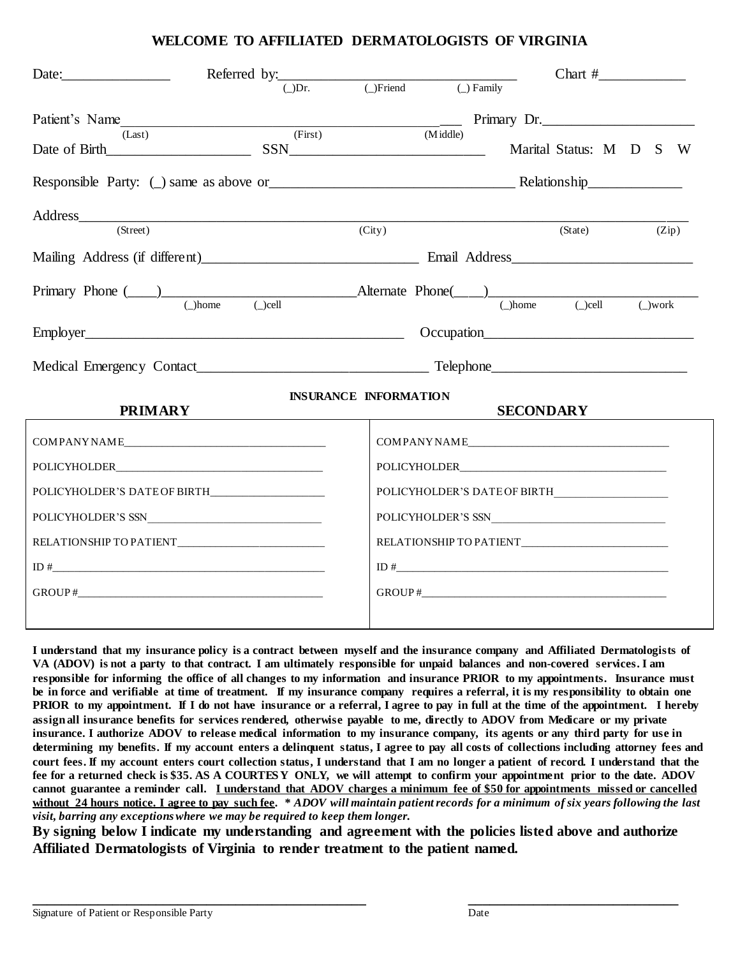### **WELCOME TO AFFILIATED DERMATOLOGISTS OF VIRGINIA**

| Date: and the same state of the state of the state of the state of the state of the state of the state of the state of the state of the state of the state of the state of the state of the state of the state of the state of                                                                                                                                                                                                                                                                         | Referred by: $\overline{\phantom{a}(\_)}$ Dr. $\overline{\phantom{a}(\_)}$ Friend $\overline{\phantom{a}(\_)}$ Family |                                                    |  | $Char$ # |             |
|--------------------------------------------------------------------------------------------------------------------------------------------------------------------------------------------------------------------------------------------------------------------------------------------------------------------------------------------------------------------------------------------------------------------------------------------------------------------------------------------------------|-----------------------------------------------------------------------------------------------------------------------|----------------------------------------------------|--|----------|-------------|
|                                                                                                                                                                                                                                                                                                                                                                                                                                                                                                        | Patient's Name (Last) (First) (First) Primary Dr.<br>Date of Birth Status: M D S W                                    | (Midde)                                            |  |          |             |
|                                                                                                                                                                                                                                                                                                                                                                                                                                                                                                        |                                                                                                                       |                                                    |  |          |             |
| Address<br>(Street)                                                                                                                                                                                                                                                                                                                                                                                                                                                                                    |                                                                                                                       | (City)                                             |  | (State)  | (Zip)       |
|                                                                                                                                                                                                                                                                                                                                                                                                                                                                                                        |                                                                                                                       |                                                    |  |          |             |
|                                                                                                                                                                                                                                                                                                                                                                                                                                                                                                        |                                                                                                                       |                                                    |  |          | $\cup$ work |
|                                                                                                                                                                                                                                                                                                                                                                                                                                                                                                        |                                                                                                                       |                                                    |  |          |             |
|                                                                                                                                                                                                                                                                                                                                                                                                                                                                                                        |                                                                                                                       |                                                    |  |          |             |
| <b>INSURANCE INFORMATION</b><br><b>PRIMARY</b><br><b>SECONDARY</b><br>$\overline{\phantom{a}}$ . The contract of $\overline{\phantom{a}}$ , $\overline{\phantom{a}}$ , $\overline{\phantom{a}}$ , $\overline{\phantom{a}}$ , $\overline{\phantom{a}}$ , $\overline{\phantom{a}}$ , $\overline{\phantom{a}}$ , $\overline{\phantom{a}}$ , $\overline{\phantom{a}}$ , $\overline{\phantom{a}}$ , $\overline{\phantom{a}}$ , $\overline{\phantom{a}}$ , $\overline{\phantom{a}}$ , $\overline{\phantom{a$ |                                                                                                                       |                                                    |  |          |             |
| COMPANYNAME                                                                                                                                                                                                                                                                                                                                                                                                                                                                                            |                                                                                                                       | COMPANYNAME                                        |  |          |             |
|                                                                                                                                                                                                                                                                                                                                                                                                                                                                                                        |                                                                                                                       |                                                    |  |          |             |
|                                                                                                                                                                                                                                                                                                                                                                                                                                                                                                        |                                                                                                                       |                                                    |  |          |             |
|                                                                                                                                                                                                                                                                                                                                                                                                                                                                                                        |                                                                                                                       |                                                    |  |          |             |
|                                                                                                                                                                                                                                                                                                                                                                                                                                                                                                        |                                                                                                                       | RELATIONSHIP TO PATIENT___________________________ |  |          |             |
|                                                                                                                                                                                                                                                                                                                                                                                                                                                                                                        |                                                                                                                       |                                                    |  |          |             |
|                                                                                                                                                                                                                                                                                                                                                                                                                                                                                                        |                                                                                                                       | $\text{GROUP}\,\text{\#}\_\_\_\_\_\_\_\_ \$        |  |          |             |
|                                                                                                                                                                                                                                                                                                                                                                                                                                                                                                        |                                                                                                                       |                                                    |  |          |             |

**I understand that my insurance policy is a contract between myself and the insurance company and Affiliated Dermatologists of VA (ADOV) is not a party to that contract. I am ultimately responsible for unpaid balances and non-covered services. I am responsible for informing the office of all changes to my information and insurance PRIOR to my appointments. Insurance must be in force and verifiable at time of treatment. If my insurance company requires a referral, it is my responsibility to obtain one PRIOR to my appointment. If I do not have insurance or a referral, I agree to pay in full at the time of the appointment. I hereby assign all insurance benefits for services rendered, otherwise payable to me, directly to ADOV from Medicare or my private insurance. I authorize ADOV to release medical information to my insurance company, its agents or any third party for use in determining my benefits. If my account enters a delinquent status, I agree to pay all costs of collections including attorney fees and court fees. If my account enters court collection status, I understand that I am no longer a patient of record. I understand that the fee for a returned check is \$35. AS A COURTES Y ONLY, we will attempt to confirm your appointment prior to the date. ADOV cannot guarantee a reminder call. I understand that ADOV charges a minimum fee of \$50 for appointments missed or cancelled without 24 hours notice. I agree to pay such fee. \*** *ADOV will maintain patient records for a minimum of six years following the last visit, barring any exceptions where we may be required to keep them longer.*

**By signing below I indicate my understanding and agreement with the policies listed above and authorize Affiliated Dermatologists of Virginia to render treatment to the patient named.**

**\_\_\_\_\_\_\_\_\_\_\_\_\_\_\_\_\_\_\_\_\_\_\_\_\_\_\_\_\_\_\_\_\_\_\_\_\_\_\_\_\_\_\_\_\_\_ \_\_\_\_\_\_\_\_\_\_\_\_\_\_\_\_\_\_\_\_\_\_\_\_\_\_\_\_\_**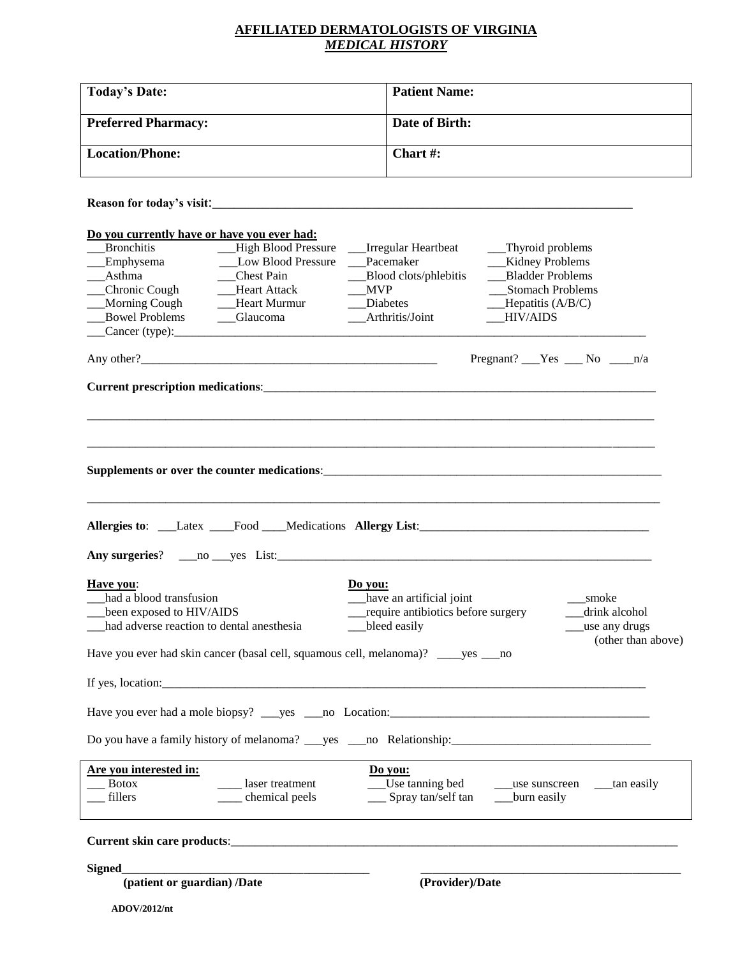## **AFFILIATED DERMATOLOGISTS OF VIRGINIA** *MEDICAL HISTORY*

| <b>Today's Date:</b>                                                                                            | <b>Patient Name:</b>                                 |  |  |
|-----------------------------------------------------------------------------------------------------------------|------------------------------------------------------|--|--|
| <b>Preferred Pharmacy:</b>                                                                                      | Date of Birth:                                       |  |  |
| <b>Location/Phone:</b>                                                                                          | Chart#:                                              |  |  |
|                                                                                                                 |                                                      |  |  |
|                                                                                                                 |                                                      |  |  |
| Do you currently have or have you ever had:<br><b>Bronchitis</b><br>__High Blood Pressure __Irregular Heartbeat | __Thyroid problems                                   |  |  |
| _broncmus<br>_Emphysema<br>Low Blood Pressure                                                                   | Pacemaker<br><b>Kidney Problems</b>                  |  |  |
| __Asthma<br>__Chest Pain                                                                                        | <b>Bladder Problems</b><br>Blood clots/phlebitis     |  |  |
| __Chronic Cough<br>-Heart Attack                                                                                | <b>MVP</b><br><b>Stomach Problems</b>                |  |  |
|                                                                                                                 | <b>Diabetes</b>                                      |  |  |
|                                                                                                                 | $\_\_\$ Hepatitis (A/B/C)                            |  |  |
| Bowel Problems _____Glaucoma                                                                                    | Arthritis/Joint<br><b>HIV/AIDS</b>                   |  |  |
| $\text{Cancer (type):}$                                                                                         |                                                      |  |  |
|                                                                                                                 | Pregnant? $Yes$ No $n/a$                             |  |  |
|                                                                                                                 |                                                      |  |  |
|                                                                                                                 |                                                      |  |  |
|                                                                                                                 |                                                      |  |  |
|                                                                                                                 |                                                      |  |  |
|                                                                                                                 |                                                      |  |  |
|                                                                                                                 |                                                      |  |  |
|                                                                                                                 |                                                      |  |  |
|                                                                                                                 |                                                      |  |  |
|                                                                                                                 |                                                      |  |  |
|                                                                                                                 |                                                      |  |  |
|                                                                                                                 |                                                      |  |  |
| Have you:<br>Do you:                                                                                            |                                                      |  |  |
| had a blood transfusion                                                                                         | have an artificial joint<br>smoke                    |  |  |
| been exposed to HIV/AIDS                                                                                        | require antibiotics before surgery<br>_drink alcohol |  |  |
|                                                                                                                 |                                                      |  |  |
| had adverse reaction to dental anesthesia                                                                       | bleed easily<br>use any drugs                        |  |  |
| Have you ever had skin cancer (basal cell, squamous cell, melanoma)? _____ yes ____ no                          | (other than above)                                   |  |  |
|                                                                                                                 |                                                      |  |  |
|                                                                                                                 |                                                      |  |  |
|                                                                                                                 |                                                      |  |  |
|                                                                                                                 |                                                      |  |  |
| Are you interested in:                                                                                          | Do you:                                              |  |  |
| <b>Botox</b><br>asser treatment                                                                                 |                                                      |  |  |
| ____ chemical peels<br>fillers                                                                                  | __ Spray tan/self tan ____burn easily                |  |  |
|                                                                                                                 |                                                      |  |  |
|                                                                                                                 |                                                      |  |  |
|                                                                                                                 |                                                      |  |  |
| Signed<br>(patient or guardian) /Date                                                                           |                                                      |  |  |
|                                                                                                                 | (Provider)/Date                                      |  |  |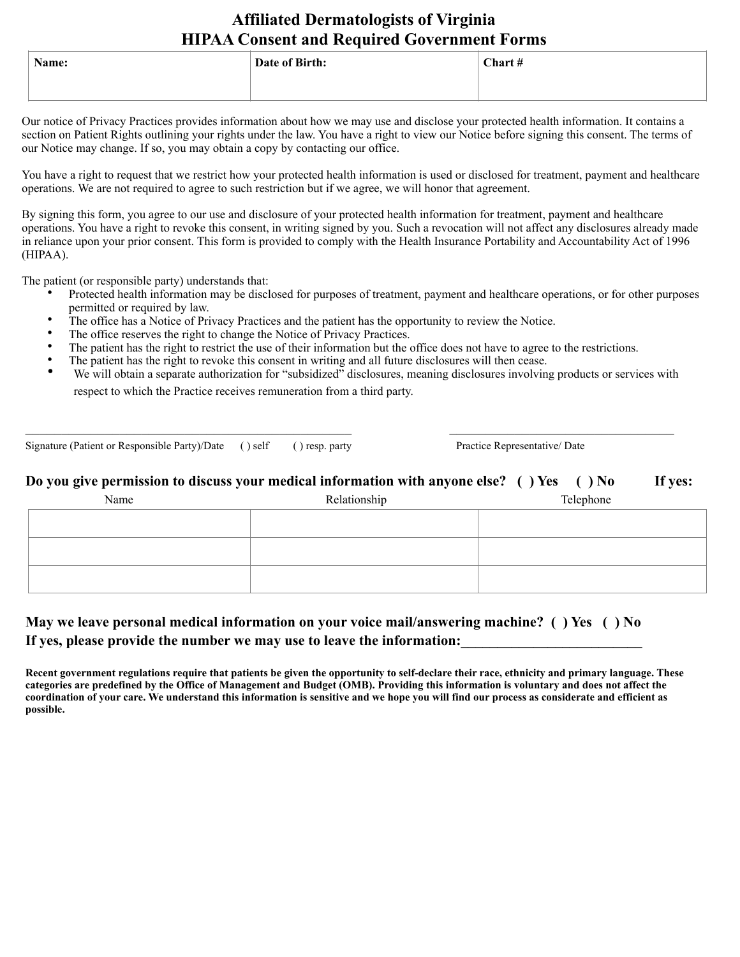# **Affiliated Dermatologists of Virginia HIPAA Consent and Required Government Forms**

| Name: | Date of Birth: | Chart # |
|-------|----------------|---------|
|       |                |         |

Our notice of Privacy Practices provides information about how we may use and disclose your protected health information. It contains a section on Patient Rights outlining your rights under the law. You have a right to view our Notice before signing this consent. The terms of our Notice may change. If so, you may obtain a copy by contacting our office.

You have a right to request that we restrict how your protected health information is used or disclosed for treatment, payment and healthcare operations. We are not required to agree to such restriction but if we agree, we will honor that agreement.

By signing this form, you agree to our use and disclosure of your protected health information for treatment, payment and healthcare operations. You have a right to revoke this consent, in writing signed by you. Such a revocation will not affect any disclosures already made in reliance upon your prior consent. This form is provided to comply with the Health Insurance Portability and Accountability Act of 1996 (HIPAA).

The patient (or responsible party) understands that:

- Protected health information may be disclosed for purposes of treatment, payment and healthcare operations, or for other purposes permitted or required by law.
- The office has a Notice of Privacy Practices and the patient has the opportunity to review the Notice.
- The office reserves the right to change the Notice of Privacy Practices.
- The patient has the right to restrict the use of their information but the office does not have to agree to the restrictions.
- The patient has the right to revoke this consent in writing and all future disclosures will then cease.
- We will obtain a separate authorization for "subsidized" disclosures, meaning disclosures involving products or services with respect to which the Practice receives remuneration from a third party.

Signature (Patient or Responsible Party)/Date ( ) self ( ) resp. party Practice Representative/ Date

### **Do you give permission to discuss your medical information with anyone else?** ( ) Yes ( ) No If yes:

 $\mathcal{L}_\text{max}$  , and the contribution of the contribution of the contribution of the contribution of the contribution of the contribution of the contribution of the contribution of the contribution of the contribution of t

| Name | Relationship | Telephone |
|------|--------------|-----------|
|      |              |           |
|      |              |           |
|      |              |           |
|      |              |           |

# **May we leave personal medical information on your voice mail/answering machine? ( ) Yes ( ) No**  If yes, please provide the number we may use to leave the information:

**Recent government regulations require that patients be given the opportunity to self-declare their race, ethnicity and primary language. These categories are predefined by the Office of Management and Budget (OMB). Providing this information is voluntary and does not affect the coordination of your care. We understand this information is sensitive and we hope you will find our process as considerate and efficient as possible.**